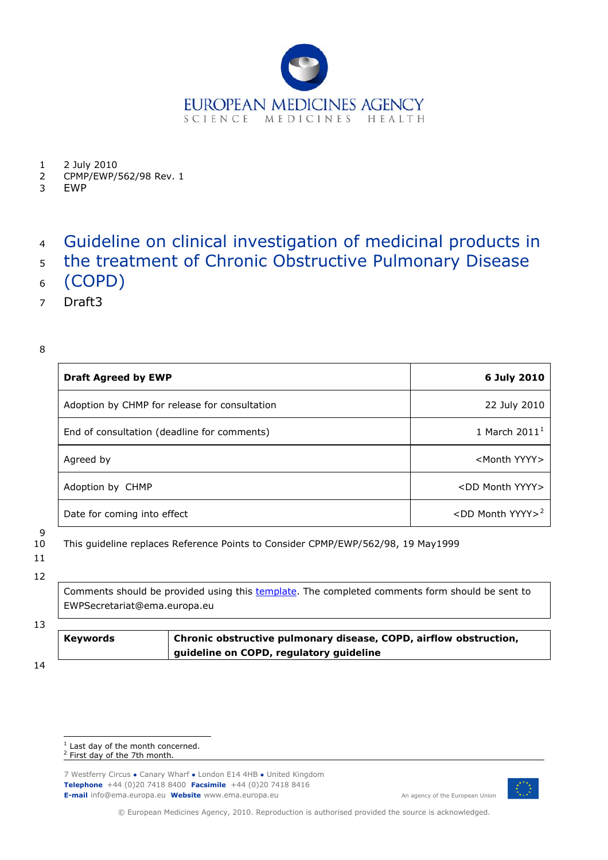

- 1 2 July 2010
- 2 CPMP/EWP/562/98 Rev. 1

3 EWP

### 4 Guideline on clinical investigation of medicinal products in

- 5 the treatment of Chronic Obstructive Pulmonary Disease
- 6 (COPD)
- 7 Draft3

8

| <b>Draft Agreed by EWP</b>                    | 6 July 2010                     |
|-----------------------------------------------|---------------------------------|
| Adoption by CHMP for release for consultation | 22 July 2010                    |
| End of consultation (deadline for comments)   | 1 March 2011 <sup>1</sup>       |
| Agreed by                                     | <month yyyy=""></month>         |
| Adoption by CHMP                              | <dd month="" yyyy=""></dd>      |
| Date for coming into effect                   | $<$ DD Month YYYY> <sup>2</sup> |

9

10 This guideline replaces Reference Points to Consider CPMP/EWP/562/98, 19 May1999

### 11

12

Comments should be provided using this [template](http://www.ema.europa.eu/docs/en_GB/document_library/Templates_and_Form/2009/10/WC500004016.doc). The completed comments form should be sent to EWPSecretariat@ema.europa.eu

### 13

**Keywords** *Chronic obstructive pulmonary disease, COPD, airflow obstruction, guideline on COPD, regulatory guideline* 

14

7 Westferry Circus **●** Canary Wharf **●** London E14 4HB **●** United Kingdom **Telephone** +44 (0)20 7418 8400 **Facsimile** +44 (0)20 7418 8416 **E-mail** info@ema.europa.eu **Website** *www.ema.europa.eu* An agency of the European Union



© European Medicines Agency, 2010. Reproduction is authorised provided the source is acknowledged.

j  $1$  Last day of the month concerned.

<span id="page-0-1"></span><span id="page-0-0"></span><sup>&</sup>lt;sup>2</sup> First day of the 7th month.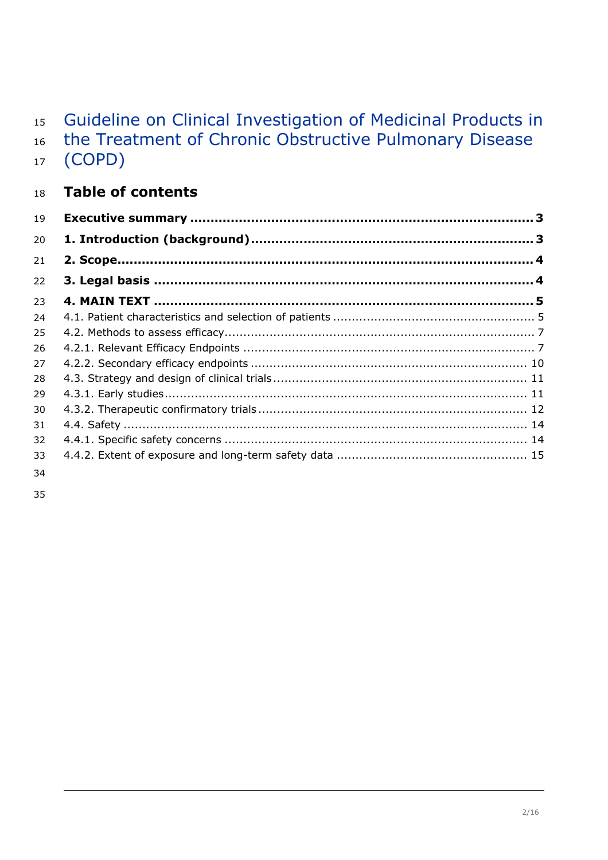### Guideline on Clinical Investigation of Medicinal Products in 15

the Treatment of Chronic Obstructive Pulmonary Disease (COPD) 16 17

### 18 **Table of contents**

| 19 |  |
|----|--|
| 20 |  |
| 21 |  |
| 22 |  |
| 23 |  |
| 24 |  |
| 25 |  |
| 26 |  |
| 27 |  |
| 28 |  |
| 29 |  |
| 30 |  |
| 31 |  |
| 32 |  |
| 33 |  |
|    |  |

- 34
- 35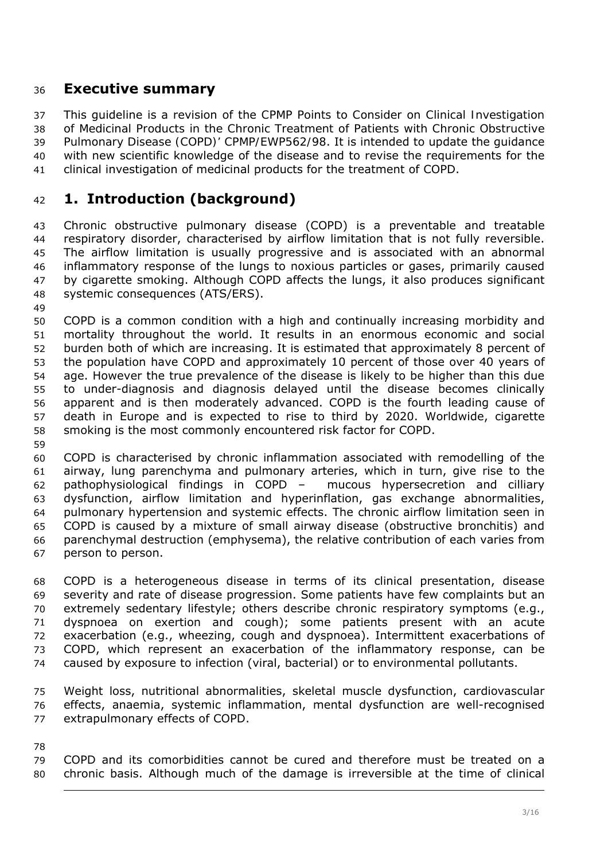## <span id="page-2-0"></span><sup>36</sup>**Executive summary**

37 38 39 40 41 This guideline is a revision of the *CPMP Points to Consider on Clinical Investigation of Medicinal Products in the Chronic Treatment of Patients with Chronic Obstructive Pulmonary Disease (COPD)' CPMP/EWP562/98*. It is intended to update the guidance with new scientific knowledge of the disease and to revise the requirements for the clinical investigation of medicinal products for the treatment of COPD.

## <sup>42</sup>**1. Introduction (background)**

43 44 45 46 47 48 Chronic obstructive pulmonary disease (COPD) is a preventable and treatable respiratory disorder, characterised by airflow limitation that is not fully reversible. The airflow limitation is usually progressive and is associated with an abnormal inflammatory response of the lungs to noxious particles or gases, primarily caused by cigarette smoking. Although COPD affects the lungs, it also produces significant systemic consequences (ATS/ERS).

49

50 51 52 53 54 55 56 57 58 COPD is a common condition with a high and continually increasing morbidity and mortality throughout the world. It results in an enormous economic and social burden both of which are increasing. It is estimated that approximately 8 percent of the population have COPD and approximately 10 percent of those over 40 years of age. However the true prevalence of the disease is likely to be higher than this due to under-diagnosis and diagnosis delayed until the disease becomes clinically apparent and is then moderately advanced. COPD is the fourth leading cause of death in Europe and is expected to rise to third by 2020. Worldwide, cigarette smoking is the most commonly encountered risk factor for COPD.

59

60 61 62 63 64 65 66 67 COPD is characterised by chronic inflammation associated with remodelling of the airway, lung parenchyma and pulmonary arteries, which in turn, give rise to the pathophysiological findings in COPD – mucous hypersecretion and cilliary dysfunction, airflow limitation and hyperinflation, gas exchange abnormalities, pulmonary hypertension and systemic effects. The chronic airflow limitation seen in COPD is caused by a mixture of small airway disease (obstructive bronchitis) and parenchymal destruction (emphysema), the relative contribution of each varies from person to person.

68 69 70 71 72 73 74 COPD is a heterogeneous disease in terms of its clinical presentation, disease severity and rate of disease progression. Some patients have few complaints but an extremely sedentary lifestyle; others describe chronic respiratory symptoms (e.g., dyspnoea on exertion and cough); some patients present with an acute exacerbation (e.g., wheezing, cough and dyspnoea). Intermittent exacerbations of COPD, which represent an exacerbation of the inflammatory response, can be caused by exposure to infection (viral, bacterial) or to environmental pollutants.

75 76 77 Weight loss, nutritional abnormalities, skeletal muscle dysfunction, cardiovascular effects, anaemia, systemic inflammation, mental dysfunction are well-recognised extrapulmonary effects of COPD.

78

79 80 COPD and its comorbidities cannot be cured and therefore must be treated on a chronic basis. Although much of the damage is irreversible at the time of clinical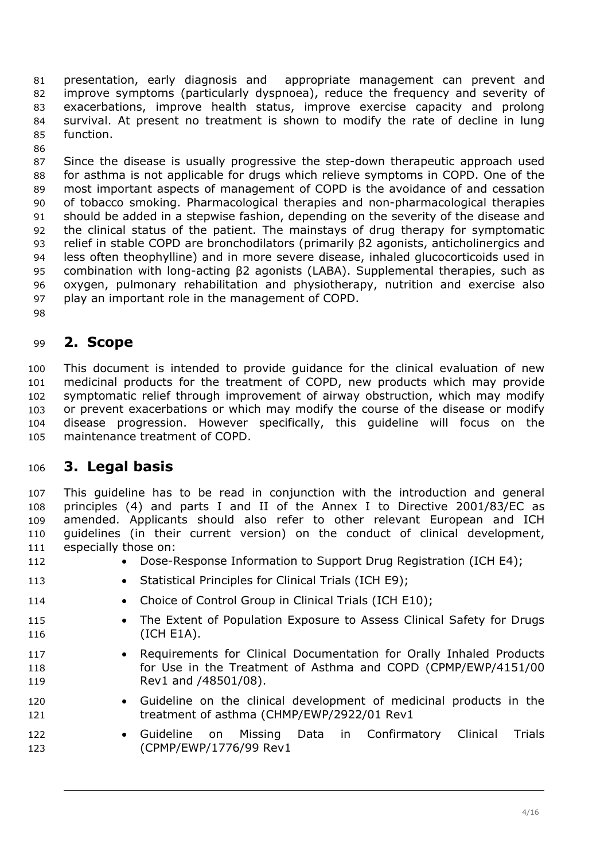<span id="page-3-0"></span>presentation, early diagnosis and appropriate management can prevent and improve symptoms (particularly dyspnoea), reduce the frequency and severity of exacerbations, improve health status, improve exercise capacity and prolong survival. At present no treatment is shown to modify the rate of decline in lung function. 81 82 83 84 85

87 88 89 90 91 92 93 94 95 96 97 Since the disease is usually progressive the step-down therapeutic approach used for asthma is not applicable for drugs which relieve symptoms in COPD. One of the most important aspects of management of COPD is the avoidance of and cessation of tobacco smoking. Pharmacological therapies and non-pharmacological therapies should be added in a stepwise fashion, depending on the severity of the disease and the clinical status of the patient. The mainstays of drug therapy for symptomatic relief in stable COPD are bronchodilators (primarily β2 agonists, anticholinergics and less often [theophylline](http://www.uptodate.com/online/content/topic.do?topicKey=drug_l_z/83119&drug=true)) and in more severe disease, inhaled [glucocorticoids](http://www.uptodate.com/online/content/topic.do?topicKey=ped_drug/145338&drug=true) used in combination with long-acting β2 agonists (LABA). Supplemental therapies, such as [oxygen](http://www.uptodate.com/online/content/topic.do?topicKey=drug_l_z/59794&drug=true), pulmonary rehabilitation and physiotherapy, nutrition and exercise also play an important role in the management of COPD.

98

86

# <sup>99</sup>**2. Scope**

100 101 102 103 104 105 This document is intended to provide guidance for the clinical evaluation of new medicinal products for the treatment of COPD, new products which may provide symptomatic relief through improvement of airway obstruction, which may modify or prevent exacerbations or which may modify the course of the disease or modify disease progression. However specifically, this guideline will focus on the maintenance treatment of COPD.

# <sup>106</sup>**3. Legal basis**

107 108 109 110 111 This guideline has to be read in conjunction with the introduction and general principles (4) and parts I and II of the Annex I to Directive 2001/83/EC as amended. Applicants should also refer to other relevant European and ICH guidelines (in their current version) on the conduct of clinical development, especially those on:

- 112 • Dose-Response Information to Support Drug Registration (ICH E4);
- 113 • Statistical Principles for Clinical Trials (ICH E9);
- 114 • Choice of Control Group in Clinical Trials (ICH E10);
- 115 116 • The Extent of Population Exposure to Assess Clinical Safety for Drugs (ICH E1A).
- 117 118 119 • Requirements for Clinical Documentation for Orally Inhaled Products for Use in the Treatment of Asthma and COPD (CPMP/EWP/4151/00 Rev1 and /48501/08).
- 120 121 • Guideline on the clinical development of medicinal products in the treatment of asthma (CHMP/EWP/2922/01 Rev1
- 122 123 • Guideline on Missing Data in Confirmatory Clinical Trials (CPMP/EWP/1776/99 Rev1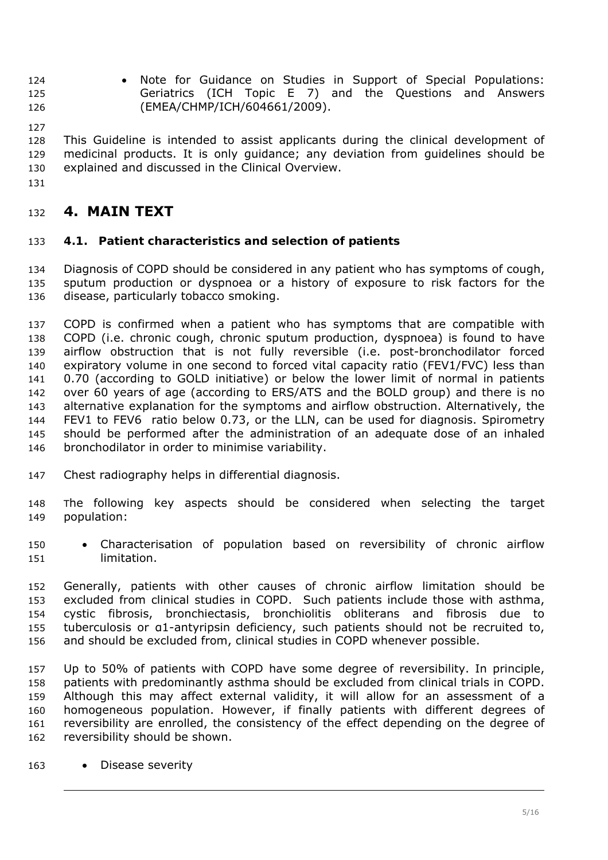- <span id="page-4-0"></span>• Note for Guidance on Studies in Support of Special Populations: Geriatrics (ICH Topic E 7) and the Questions and Answers (EMEA/CHMP/ICH/604661/2009). 124 125 126
- 127

128 129 130 This Guideline is intended to assist applicants during the clinical development of medicinal products. It is only guidance; any deviation from guidelines should be explained and discussed in the Clinical Overview.

131

# <sup>132</sup>**4. MAIN TEXT**

### 133 *4.1. Patient characteristics and selection of patients*

134 135 136 Diagnosis of COPD should be considered in any patient who has symptoms of cough, sputum production or dyspnoea or a history of exposure to risk factors for the disease, particularly tobacco smoking.

137 138 139 140 141 142 143 144 145 146 COPD is confirmed when a patient who has symptoms that are compatible with COPD (i.e. chronic cough, chronic sputum production, dyspnoea) is found to have airflow obstruction that is not fully reversible (i.e. post-bronchodilator forced expiratory volume in one second to forced vital capacity ratio (FEV1/FVC) less than 0.70 (according to GOLD initiative) or below the lower limit of normal in patients over 60 years of age (according to ERS/ATS and the BOLD group) and there is no alternative explanation for the symptoms and airflow obstruction. Alternatively, the FEV1 to FEV6 ratio below 0.73, or the LLN, can be used for diagnosis. Spirometry should be performed after the administration of an adequate dose of an inhaled bronchodilator in order to minimise variability.

- 147 Chest radiography helps in differential diagnosis.
- 148 149 The following key aspects should be considered when selecting the target population:
- 150 151 • Characterisation of population based on reversibility of chronic airflow limitation.

152 153 154 155 156 Generally, patients with other causes of chronic airflow limitation should be excluded from clinical studies in COPD. Such patients include those with asthma, cystic fibrosis, bronchiectasis, bronchiolitis obliterans and fibrosis due to tuberculosis or α1-antyripsin deficiency, such patients should not be recruited to, and should be excluded from, clinical studies in COPD whenever possible.

157 158 159 160 161 162 Up to 50% of patients with COPD have some degree of reversibility. In principle, patients with predominantly asthma should be excluded from clinical trials in COPD. Although this may affect external validity, it will allow for an assessment of a homogeneous population. However, if finally patients with different degrees of reversibility are enrolled, the consistency of the effect depending on the degree of reversibility should be shown.

163 • Disease severity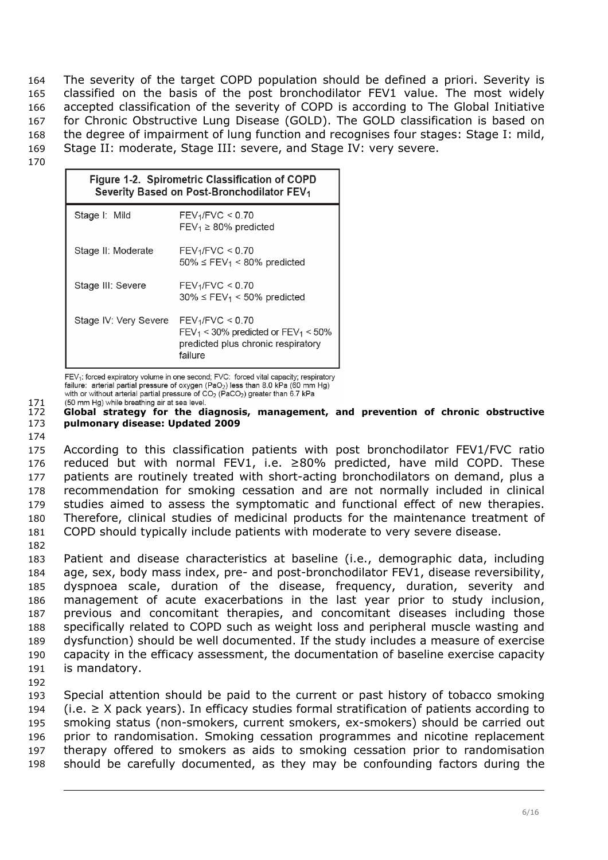The severity of the target COPD population should be defined a priori. Severity is classified on the basis of the post bronchodilator FEV1 value. The most widely accepted classification of the severity of COPD is according to The Global Initiative for Chronic Obstructive Lung Disease (GOLD). The GOLD classification is based on the degree of impairment of lung function and recognises four stages: Stage I: mild, Stage II: moderate, Stage III: severe, and Stage IV: very severe. 164 165 166 167 168 169

170

| Figure 1-2. Spirometric Classification of COPD<br>Severity Based on Post-Bronchodilator FEV <sub>1</sub> |                                                                                                                             |  |
|----------------------------------------------------------------------------------------------------------|-----------------------------------------------------------------------------------------------------------------------------|--|
| Stage I: Mild                                                                                            | FEV <sub>1</sub> /FVC < 0.70<br>$FEV_1 \ge 80\%$ predicted                                                                  |  |
| Stage II: Moderate                                                                                       | $FEV_1/FVC < 0.70$<br>$50\% \leq FEV_1 \leq 80\%$ predicted                                                                 |  |
| Stage III: Severe                                                                                        | $FEV_1/FVC < 0.70$<br>$30\% \leq FEV_1 \leq 50\%$ predicted                                                                 |  |
| Stage IV: Very Severe                                                                                    | FEV <sub>1</sub> /FVC < 0.70<br>$FEV_1 < 30\%$ predicted or $FEV_1 < 50\%$<br>predicted plus chronic respiratory<br>failure |  |

FEV<sub>1</sub>: forced expiratory volume in one second; FVC: forced vital capacity; respiratory failure: arterial partial pressure of oxygen (PaO<sub>2</sub>) less than 8.0 kPa (60 mm Hg) with or without arterial partial pressure of CO<sub>2</sub> (PaCO<sub>2</sub>) greater than 6.7 kPa

171 (50 mm Hg) while breathing air at sea level.

172 173 **Global strategy for the diagnosis, management, and prevention of chronic obstructive pulmonary disease: Updated 2009** 

174

175 176 177 178 179 180 181 According to this classification patients with post bronchodilator FEV1/FVC ratio reduced but with normal FEV1, i.e. ≥80% predicted, have mild COPD. These patients are routinely treated with short-acting bronchodilators on demand, plus a recommendation for smoking cessation and are not normally included in clinical studies aimed to assess the symptomatic and functional effect of new therapies. Therefore, clinical studies of medicinal products for the maintenance treatment of COPD should typically include patients with moderate to very severe disease.

182

183 184 185 186 187 188 189 190 191 192 Patient and disease characteristics at baseline (i.e., demographic data, including age, sex, body mass index, pre- and post-bronchodilator FEV1, disease reversibility, dyspnoea scale, duration of the disease, frequency, duration, severity and management of acute exacerbations in the last year prior to study inclusion, previous and concomitant therapies, and concomitant diseases including those specifically related to COPD such as weight loss and peripheral muscle wasting and dysfunction) should be well documented. If the study includes a measure of exercise capacity in the efficacy assessment, the documentation of baseline exercise capacity is mandatory.

193 194 195 196 197 198 Special attention should be paid to the current or past history of tobacco smoking (i.e.  $≥$  X pack years). In efficacy studies formal stratification of patients according to smoking status (non-smokers, current smokers, ex-smokers) should be carried out prior to randomisation. Smoking cessation programmes and nicotine replacement therapy offered to smokers as aids to smoking cessation prior to randomisation should be carefully documented, as they may be confounding factors during the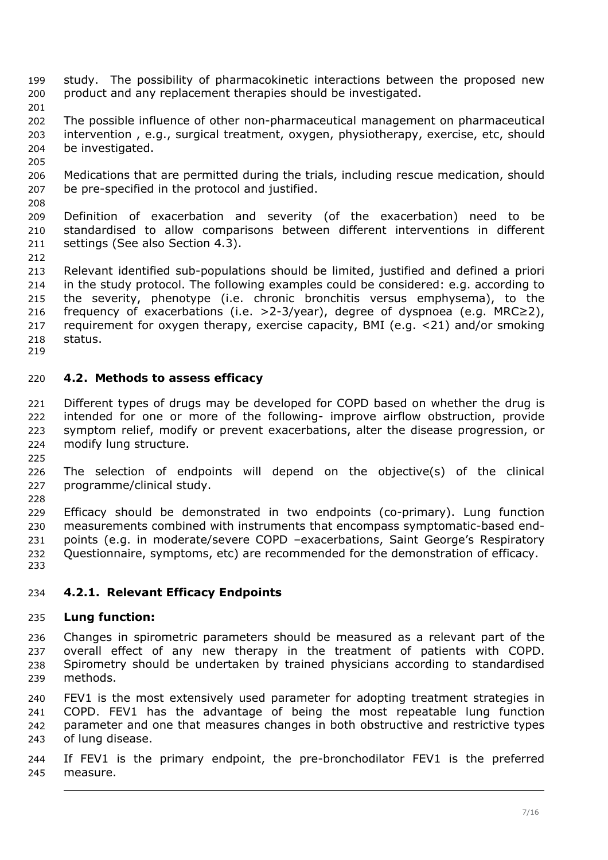- <span id="page-6-0"></span>study. The possibility of pharmacokinetic interactions between the proposed new product and any replacement therapies should be investigated. 199 200
- 201
- 202 203 204 The possible influence of other non-pharmaceutical management on pharmaceutical intervention , e.g., surgical treatment, oxygen, physiotherapy, exercise, etc, should be investigated.
- 205
- 206 207 Medications that are permitted during the trials, including rescue medication, should be pre-specified in the protocol and justified.
- 208 209 210 211 Definition of exacerbation and severity (of the exacerbation) need to be standardised to allow comparisons between different interventions in different settings (See also Section 4.3).
- 212
- 213 214 215 216 217 218 Relevant identified sub-populations should be limited, justified and defined a priori in the study protocol. The following examples could be considered: e.g. according to the severity, phenotype (i.e. chronic bronchitis versus emphysema), to the frequency of exacerbations (i.e. >2-3/year), degree of dyspnoea (e.g. MRC≥2), requirement for oxygen therapy, exercise capacity, BMI (e.g. <21) and/or smoking status.
- 219

## 220 *4.2. Methods to assess efficacy*

- 221 222 223 224 Different types of drugs may be developed for COPD based on whether the drug is intended for one or more of the following- improve airflow obstruction, provide symptom relief, modify or prevent exacerbations, alter the disease progression, or modify lung structure.
- 225

228

- 226 227 The selection of endpoints will depend on the objective(s) of the clinical programme/clinical study.
- 229 230 231 232 233 Efficacy should be demonstrated in two endpoints (co-primary). Lung function measurements combined with instruments that encompass symptomatic-based endpoints (e.g. in moderate/severe COPD –exacerbations, Saint George's Respiratory Questionnaire, symptoms, etc) are recommended for the demonstration of efficacy.
- 234 **4.2.1. Relevant Efficacy Endpoints**

### 235 **Lung function:**

- 236 237 238 239 Changes in spirometric parameters should be measured as a relevant part of the overall effect of any new therapy in the treatment of patients with COPD. Spirometry should be undertaken by trained physicians according to standardised methods.
- 240 241 242 243 FEV1 is the most extensively used parameter for adopting treatment strategies in COPD. FEV1 has the advantage of being the most repeatable lung function parameter and one that measures changes in both obstructive and restrictive types of lung disease.
- 244 245 If FEV1 is the primary endpoint, the pre-bronchodilator FEV1 is the preferred measure.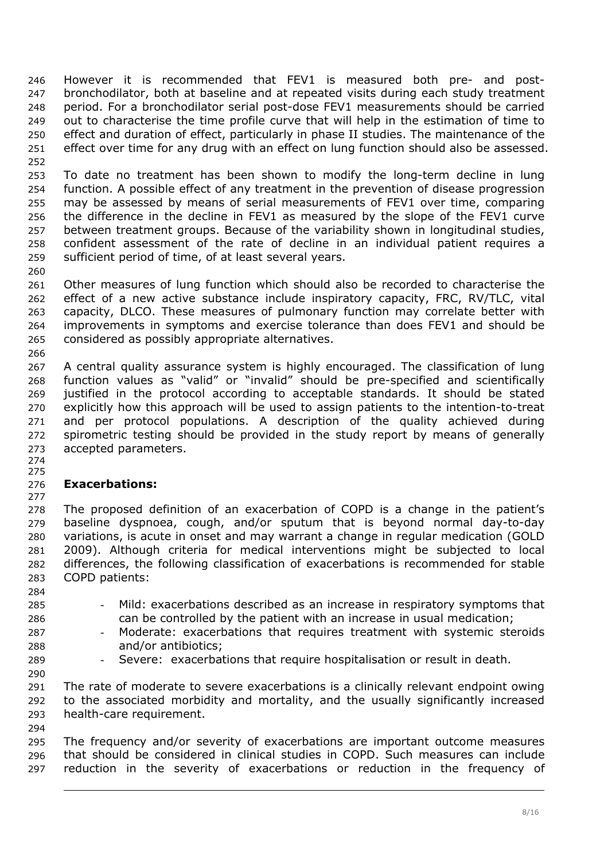However it is recommended that FEV1 is measured both pre- and postbronchodilator, both at baseline and at repeated visits during each study treatment period. For a bronchodilator serial post-dose FEV1 measurements should be carried out to characterise the time profile curve that will help in the estimation of time to effect and duration of effect, particularly in phase II studies. The maintenance of the effect over time for any drug with an effect on lung function should also be assessed. 246 247 248 249 250 251 252

253 254 255 256 257 258 259 To date no treatment has been shown to modify the long-term decline in lung function. A possible effect of any treatment in the prevention of disease progression may be assessed by means of serial measurements of FEV1 over time, comparing the difference in the decline in FEV1 as measured by the slope of the FEV1 curve between treatment groups. Because of the variability shown in longitudinal studies, confident assessment of the rate of decline in an individual patient requires a sufficient period of time, of at least several years.

261 262 263 264 265 Other measures of lung function which should also be recorded to characterise the effect of a new active substance include inspiratory capacity, FRC, RV/TLC, vital capacity, DLCO. These measures of pulmonary function may correlate better with improvements in symptoms and exercise tolerance than does FEV1 and should be considered as possibly appropriate alternatives.

267 268 269 270 271 272 273 A central quality assurance system is highly encouraged. The classification of lung function values as "valid" or "invalid" should be pre-specified and scientifically justified in the protocol according to acceptable standards. It should be stated explicitly how this approach will be used to assign patients to the intention-to-treat and per protocol populations. A description of the quality achieved during spirometric testing should be provided in the study report by means of generally accepted parameters.

274 275

260

266

#### 276 277 **Exacerbations:**

278 279 280 281 282 283 The proposed definition of an exacerbation of COPD is a change in the patient's baseline dyspnoea, cough, and/or sputum that is beyond normal day-to-day variations, is acute in onset and may warrant a change in regular medication (GOLD 2009). Although criteria for medical interventions might be subjected to local differences, the following classification of exacerbations is recommended for stable COPD patients:

- 285 286 Mild: exacerbations described as an increase in respiratory symptoms that can be controlled by the patient with an increase in usual medication;
- 287 288 - Moderate: exacerbations that requires treatment with systemic steroids and/or antibiotics;
- 289 290

294

284

Severe: exacerbations that require hospitalisation or result in death.

291 292 293 The rate of moderate to severe exacerbations is a clinically relevant endpoint owing to the associated morbidity and mortality, and the usually significantly increased health-care requirement.

295 296 297 The frequency and/or severity of exacerbations are important outcome measures that should be considered in clinical studies in COPD. Such measures can include reduction in the severity of exacerbations or reduction in the frequency of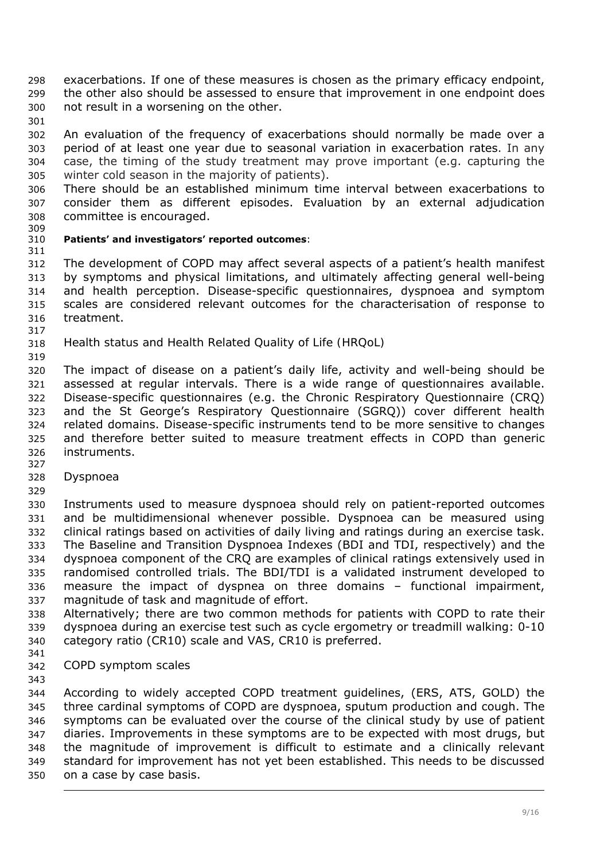exacerbations. If one of these measures is chosen as the primary efficacy endpoint, the other also should be assessed to ensure that improvement in one endpoint does not result in a worsening on the other. 298 299 300

302 303 304 305 An evaluation of the frequency of exacerbations should normally be made over a period of at least one year due to seasonal variation in exacerbation rates. In any case, the timing of the study treatment may prove important (e.g. capturing the winter cold season in the majority of patients).

306 307 308 There should be an established minimum time interval between exacerbations to consider them as different episodes. Evaluation by an external adjudication committee is encouraged.

309

301

#### 310 311 **Patients' and investigators' reported outcomes**:

312 313 314 315 316 317 The development of COPD may affect several aspects of a patient's health manifest by symptoms and physical limitations, and ultimately affecting general well-being and health perception. Disease-specific questionnaires, dyspnoea and symptom scales are considered relevant outcomes for the characterisation of response to treatment.

- 318 *Health status and Health Related Quality of Life (HRQoL)*
- 319

320 321 322 323 324 325 326 327 The impact of disease on a patient's daily life, activity and well-being should be assessed at regular intervals. There is a wide range of questionnaires available. Disease-specific questionnaires (e.g. the Chronic Respiratory Questionnaire (CRQ) and the St George's Respiratory Questionnaire (SGRQ)) cover different health related domains. Disease-specific instruments tend to be more sensitive to changes and therefore better suited to measure treatment effects in COPD than generic instruments.

- 328 *Dyspnoea*
- 329

330 331 332 333 334 335 336 337 Instruments used to measure dyspnoea should rely on patient-reported outcomes and be multidimensional whenever possible. Dyspnoea can be measured using clinical ratings based on activities of daily living and ratings during an exercise task. The Baseline and Transition Dyspnoea Indexes (BDI and TDI, respectively) and the dyspnoea component of the CRQ are examples of clinical ratings extensively used in randomised controlled trials. The BDI/TDI is a validated instrument developed to measure the impact of dyspnea on three domains – functional impairment, magnitude of task and magnitude of effort.

338 339 340 Alternatively; there are two common methods for patients with COPD to rate their dyspnoea during an exercise test such as cycle ergometry or treadmill walking: 0-10 category ratio (CR10) scale and VAS, CR10 is preferred.

- 341
- 342 *COPD symptom scales*

343

344 345 346 347 348 349 350 According to widely accepted COPD treatment guidelines, (ERS, ATS, GOLD) the three cardinal symptoms of COPD are dyspnoea, sputum production and cough. The symptoms can be evaluated over the course of the clinical study by use of patient diaries. Improvements in these symptoms are to be expected with most drugs, but the magnitude of improvement is difficult to estimate and a clinically relevant standard for improvement has not yet been established. This needs to be discussed on a case by case basis.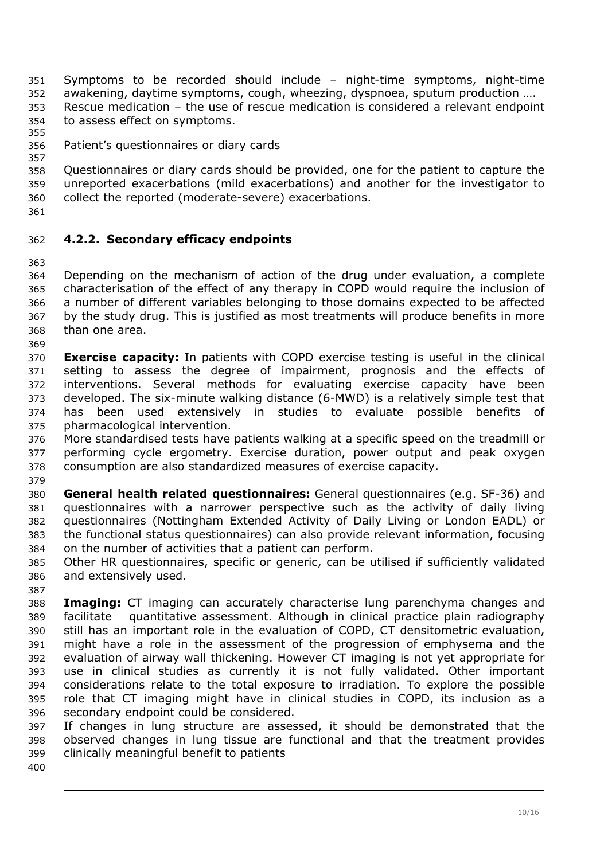<span id="page-9-0"></span>Symptoms to be recorded should include – night-time symptoms, night-time awakening, daytime symptoms, cough, wheezing, dyspnoea, sputum production …. 351 352 353 354 Rescue medication – the use of rescue medication is considered a relevant endpoint to assess effect on symptoms.

355

#### 356 357 *Patient's questionnaires or diary cards*

358 359 360 Questionnaires or diary cards should be provided, one for the patient to capture the unreported exacerbations (mild exacerbations) and another for the investigator to collect the reported (moderate-severe) exacerbations.

361

## 362 **4.2.2. Secondary efficacy endpoints**

363

364 365 366 367 368 369 Depending on the mechanism of action of the drug under evaluation, a complete characterisation of the effect of any therapy in COPD would require the inclusion of a number of different variables belonging to those domains expected to be affected by the study drug. This is justified as most treatments will produce benefits in more than one area.

370 371 372 373 374 375 **Exercise capacity:** In patients with COPD exercise testing is useful in the clinical setting to assess the degree of impairment, prognosis and the effects of interventions. Several methods for evaluating exercise capacity have been developed. The six-minute walking distance (6-MWD) is a relatively simple test that has been used extensively in studies to evaluate possible benefits of pharmacological intervention.

376 377 378 379 More standardised tests have patients walking at a specific speed on the treadmill or performing cycle ergometry. Exercise duration, power output and peak oxygen consumption are also standardized measures of exercise capacity.

380 381 382 383 384 **General health related questionnaires:** General questionnaires (e.g. SF-36) and questionnaires with a narrower perspective such as the activity of daily living questionnaires (Nottingham Extended Activity of Daily Living or London EADL) or the functional status questionnaires) can also provide relevant information, focusing on the number of activities that a patient can perform.

385 386 Other HR questionnaires, specific or generic, can be utilised if sufficiently validated and extensively used.

388 389 390 391 392 393 394 395 396 **Imaging:** CT imaging can accurately characterise lung parenchyma changes and facilitate quantitative assessment. Although in clinical practice plain radiography still has an important role in the evaluation of COPD, CT densitometric evaluation, might have a role in the assessment of the progression of emphysema and the evaluation of airway wall thickening. However CT imaging is not yet appropriate for use in clinical studies as currently it is not fully validated. Other important considerations relate to the total exposure to irradiation. To explore the possible role that CT imaging might have in clinical studies in COPD, its inclusion as a secondary endpoint could be considered.

397 398 399 If changes in lung structure are assessed, it should be demonstrated that the observed changes in lung tissue are functional and that the treatment provides clinically meaningful benefit to patients

400

387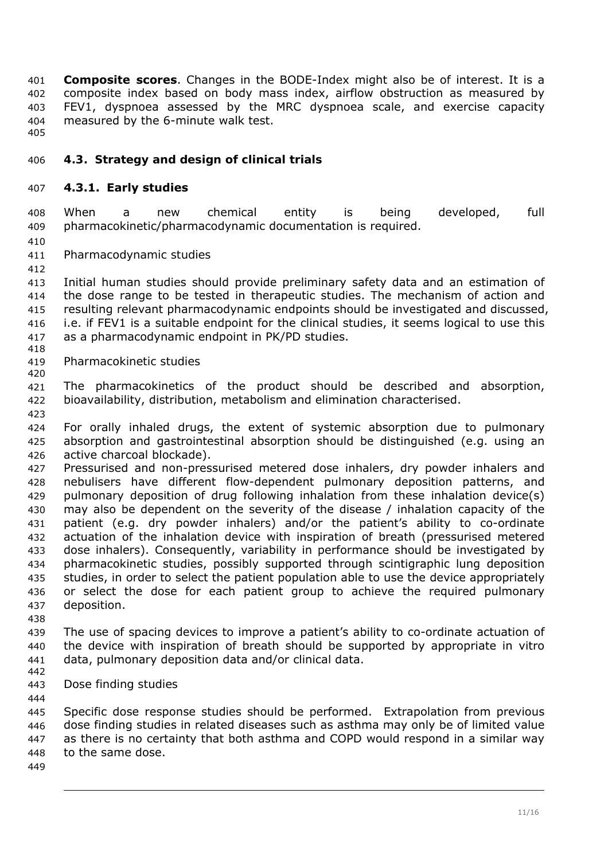<span id="page-10-0"></span>**Composite scores**. Changes in the BODE-Index might also be of interest. It is a composite index based on body mass index, airflow obstruction as measured by FEV1, dyspnoea assessed by the MRC dyspnoea scale, and exercise capacity measured by the 6-minute walk test. 401 402 403 404

405

### 406 *4.3. Strategy and design of clinical trials*

### 407 **4.3.1. Early studies**

408 409 When a new chemical entity is being developed, full pharmacokinetic/pharmacodynamic documentation is required.

410

412

411 *Pharmacodynamic studies* 

413 414 415 416 417 418 Initial human studies should provide preliminary safety data and an estimation of the dose range to be tested in therapeutic studies. The mechanism of action and resulting relevant pharmacodynamic endpoints should be investigated and discussed, i.e. if FEV1 is a suitable endpoint for the clinical studies, it seems logical to use this as a pharmacodynamic endpoint in PK/PD studies.

419 420 *Pharmacokinetic studies* 

421 422 423 The pharmacokinetics of the product should be described and absorption, bioavailability, distribution, metabolism and elimination characterised.

424 425 426 For orally inhaled drugs, the extent of systemic absorption due to pulmonary absorption and gastrointestinal absorption should be distinguished (e.g. using an active charcoal blockade).

427 428 429 430 431 432 433 434 435 436 437 Pressurised and non-pressurised metered dose inhalers, dry powder inhalers and nebulisers have different flow-dependent pulmonary deposition patterns, and pulmonary deposition of drug following inhalation from these inhalation device(s) may also be dependent on the severity of the disease / inhalation capacity of the patient (e.g. dry powder inhalers) and/or the patient's ability to co-ordinate actuation of the inhalation device with inspiration of breath (pressurised metered dose inhalers). Consequently, variability in performance should be investigated by pharmacokinetic studies, possibly supported through scintigraphic lung deposition studies, in order to select the patient population able to use the device appropriately or select the dose for each patient group to achieve the required pulmonary deposition.

438

439 440 441 The use of spacing devices to improve a patient's ability to co-ordinate actuation of the device with inspiration of breath should be supported by appropriate in vitro data, pulmonary deposition data and/or clinical data.

442 443

444

*Dose finding studies* 

445 446 447 448 Specific dose response studies should be performed. Extrapolation from previous dose finding studies in related diseases such as asthma may only be of limited value as there is no certainty that both asthma and COPD would respond in a similar way to the same dose.

449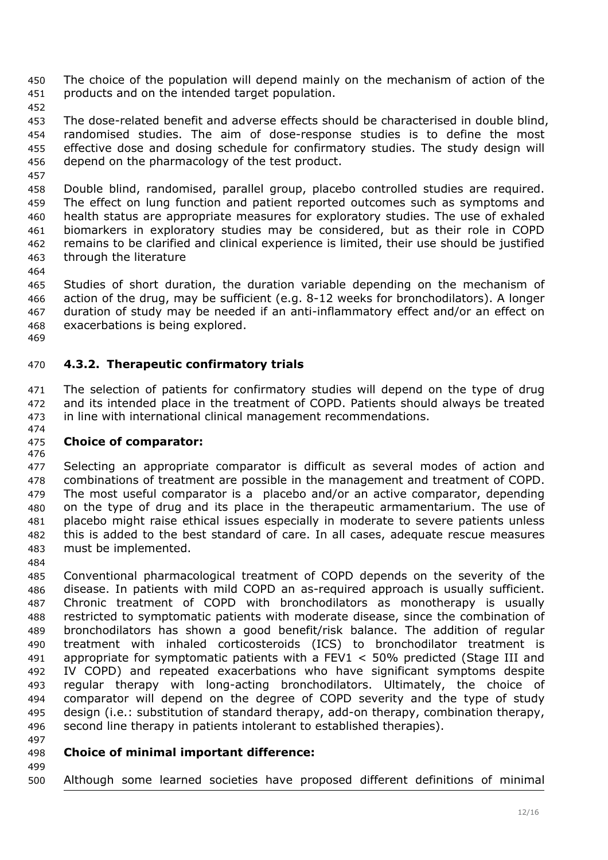<span id="page-11-0"></span>The choice of the population will depend mainly on the mechanism of action of the products and on the intended target population. 450 451

452

457

453 454 455 456 The dose-related benefit and adverse effects should be characterised in double blind, randomised studies. The aim of dose-response studies is to define the most effective dose and dosing schedule for confirmatory studies. The study design will depend on the pharmacology of the test product.

458 459 460 461 462 463 Double blind, randomised, parallel group, placebo controlled studies are required. The effect on lung function and patient reported outcomes such as symptoms and health status are appropriate measures for exploratory studies. The use of exhaled biomarkers in exploratory studies may be considered, but as their role in COPD remains to be clarified and clinical experience is limited, their use should be justified through the literature

464

465 466 467 468 469 Studies of short duration, the duration variable depending on the mechanism of action of the drug, may be sufficient (e.g. 8-12 weeks for bronchodilators). A longer duration of study may be needed if an anti-inflammatory effect and/or an effect on exacerbations is being explored.

### 470 **4.3.2. Therapeutic confirmatory trials**

471 472 473 474 The selection of patients for confirmatory studies will depend on the type of drug and its intended place in the treatment of COPD. Patients should always be treated in line with international clinical management recommendations.

#### 475 **Choice of comparator:**

476

477 478 479 480 481 482 483 Selecting an appropriate comparator is difficult as several modes of action and combinations of treatment are possible in the management and treatment of COPD. The most useful comparator is a placebo and/or an active comparator, depending on the type of drug and its place in the therapeutic armamentarium. The use of placebo might raise ethical issues especially in moderate to severe patients unless this is added to the best standard of care. In all cases, adequate rescue measures must be implemented.

484

485 486 487 488 489 490 491 492 493 494 495 496 Conventional pharmacological treatment of COPD depends on the severity of the disease. In patients with mild COPD an as-required approach is usually sufficient. Chronic treatment of COPD with bronchodilators as monotherapy is usually restricted to symptomatic patients with moderate disease, since the combination of bronchodilators has shown a good benefit/risk balance. The addition of regular treatment with inhaled corticosteroids (ICS) to bronchodilator treatment is appropriate for symptomatic patients with a FEV1 < 50% predicted (Stage III and IV COPD) and repeated exacerbations who have significant symptoms despite regular therapy with long-acting bronchodilators. Ultimately, the choice of comparator will depend on the degree of COPD severity and the type of study design (i.e.: substitution of standard therapy, add-on therapy, combination therapy, second line therapy in patients intolerant to established therapies).

497

499

#### 498 **Choice of minimal important difference:**

500 Although some learned societies have proposed different definitions of minimal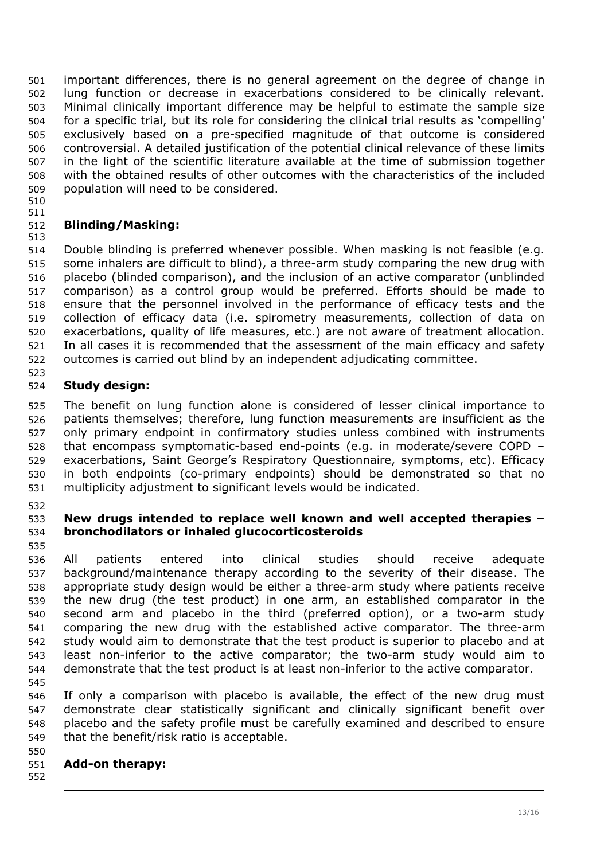important differences, there is no general agreement on the degree of change in lung function or decrease in exacerbations considered to be clinically relevant. Minimal clinically important difference may be helpful to estimate the sample size for a specific trial, but its role for considering the clinical trial results as 'compelling' exclusively based on a pre-specified magnitude of that outcome is considered controversial. A detailed justification of the potential clinical relevance of these limits in the light of the scientific literature available at the time of submission together with the obtained results of other outcomes with the characteristics of the included population will need to be considered. 501 502 503 504 505 506 507 508 509

510 511

### 512 **Blinding/Masking:**

513 514 515 516 517 518 519 520 521 522 Double blinding is preferred whenever possible. When masking is not feasible (e.g. some inhalers are difficult to blind), a three-arm study comparing the new drug with placebo (blinded comparison), and the inclusion of an active comparator (unblinded comparison) as a control group would be preferred. Efforts should be made to ensure that the personnel involved in the performance of efficacy tests and the collection of efficacy data (i.e. spirometry measurements, collection of data on exacerbations, quality of life measures, etc.) are not aware of treatment allocation. In all cases it is recommended that the assessment of the main efficacy and safety outcomes is carried out blind by an independent adjudicating committee.

#### 524 **Study design:**

525 526 527 528 529 530 531 The benefit on lung function alone is considered of lesser clinical importance to patients themselves; therefore, lung function measurements are insufficient as the only primary endpoint in confirmatory studies unless combined with instruments that encompass symptomatic-based end-points (e.g. in moderate/severe COPD – exacerbations, Saint George's Respiratory Questionnaire, symptoms, etc). Efficacy in both endpoints (co-primary endpoints) should be demonstrated so that no multiplicity adjustment to significant levels would be indicated.

532

523

#### 533 534 535 **New drugs intended to replace well known and well accepted therapies – bronchodilators or inhaled glucocorticosteroids**

536 537 538 539 540 541 542 543 544 All patients entered into clinical studies should receive adequate background/maintenance therapy according to the severity of their disease. The appropriate study design would be either a three-arm study where patients receive the new drug (the test product) in one arm, an established comparator in the second arm and placebo in the third (preferred option), or a two-arm study comparing the new drug with the established active comparator. The three-arm study would aim to demonstrate that the test product is superior to placebo and at least non-inferior to the active comparator; the two-arm study would aim to demonstrate that the test product is at least non-inferior to the active comparator.

545

546 547 548 549 If only a comparison with placebo is available, the effect of the new drug must demonstrate clear statistically significant and clinically significant benefit over placebo and the safety profile must be carefully examined and described to ensure that the benefit/risk ratio is acceptable.

#### 551 **Add-on therapy:**

552

550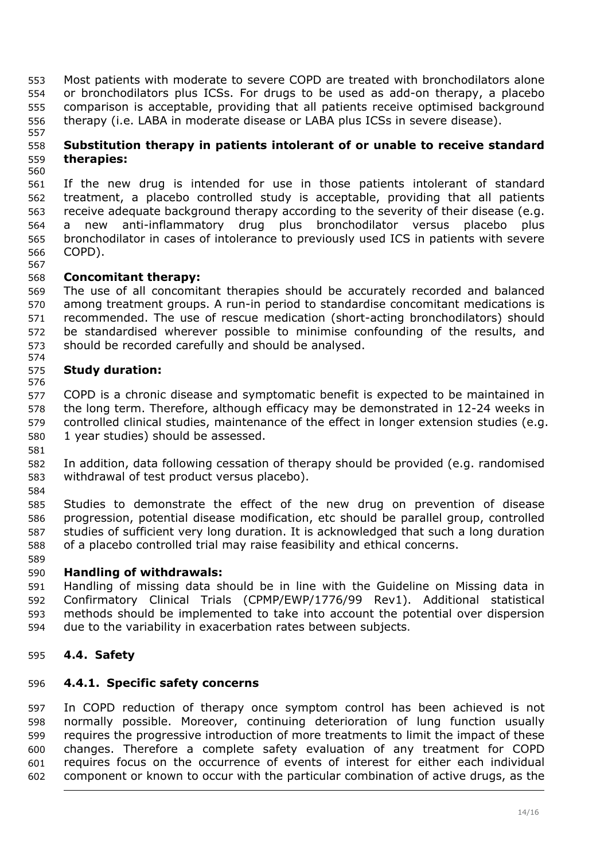<span id="page-13-0"></span>Most patients with moderate to severe COPD are treated with bronchodilators alone or bronchodilators plus ICSs. For drugs to be used as add-on therapy, a placebo comparison is acceptable, providing that all patients receive optimised background therapy (i.e. LABA in moderate disease or LABA plus ICSs in severe disease). 553 554 555 556

#### 558 559 **Substitution therapy in patients intolerant of or unable to receive standard therapies:**

560 561 562 563 564 565 566 567 If the new drug is intended for use in those patients intolerant of standard treatment, a placebo controlled study is acceptable, providing that all patients receive adequate background therapy according to the severity of their disease (e.g. a new anti-inflammatory drug plus bronchodilator versus placebo plus bronchodilator in cases of intolerance to previously used ICS in patients with severe COPD).

#### 568 **Concomitant therapy:**

569 570 571 572 573 574 The use of all concomitant therapies should be accurately recorded and balanced among treatment groups. A run-in period to standardise concomitant medications is recommended. The use of rescue medication (short-acting bronchodilators) should be standardised wherever possible to minimise confounding of the results, and should be recorded carefully and should be analysed.

#### 575 **Study duration:**

576 577 578 579 580 COPD is a chronic disease and symptomatic benefit is expected to be maintained in the long term. Therefore, although efficacy may be demonstrated in 12-24 weeks in controlled clinical studies, maintenance of the effect in longer extension studies (e.g. 1 year studies) should be assessed.

582 583 In addition, data following cessation of therapy should be provided (e.g. randomised withdrawal of test product versus placebo).

584

581

557

585 586 587 588 Studies to demonstrate the effect of the new drug on prevention of disease progression, potential disease modification, etc should be parallel group, controlled studies of sufficient very long duration. It is acknowledged that such a long duration of a placebo controlled trial may raise feasibility and ethical concerns.

### 589

#### 590 **Handling of withdrawals:**

591 592 593 594 Handling of missing data should be in line with the Guideline on Missing data in Confirmatory Clinical Trials (CPMP/EWP/1776/99 Rev1). Additional statistical methods should be implemented to take into account the potential over dispersion due to the variability in exacerbation rates between subjects*.* 

### 595 *4.4. Safety*

### 596 **4.4.1. Specific safety concerns**

597 598 599 600 601 602 In COPD reduction of therapy once symptom control has been achieved is not normally possible. Moreover, continuing deterioration of lung function usually requires the progressive introduction of more treatments to limit the impact of these changes. Therefore a complete safety evaluation of any treatment for COPD requires focus on the occurrence of events of interest for either each individual component or known to occur with the particular combination of active drugs, as the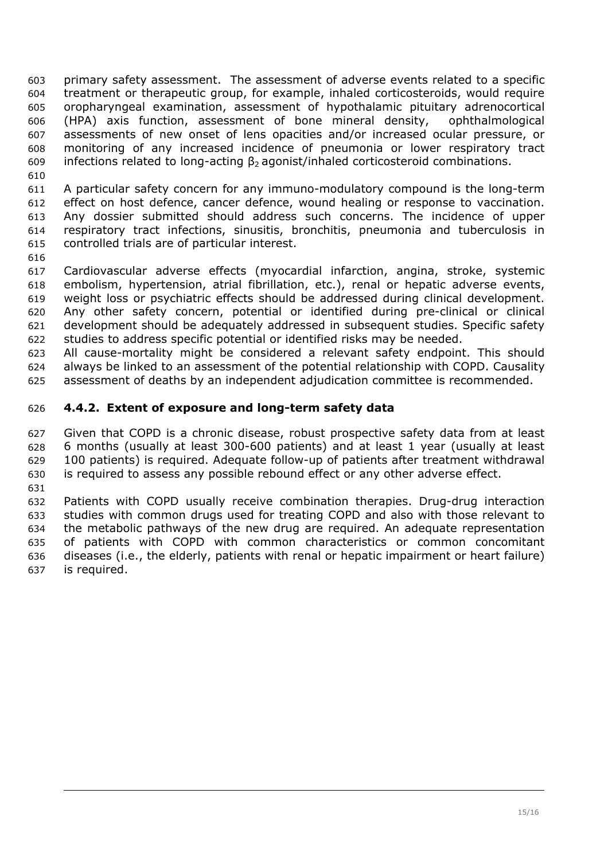<span id="page-14-0"></span>primary safety assessment. The assessment of adverse events related to a specific treatment or therapeutic group, for example, inhaled corticosteroids, would require oropharyngeal examination, assessment of hypothalamic pituitary adrenocortical (HPA) axis function, assessment of bone mineral density, ophthalmological assessments of new onset of lens opacities and/or increased ocular pressure, or monitoring of any increased incidence of pneumonia or lower respiratory tract infections related to long-acting  $\beta_2$  agonist/inhaled corticosteroid combinations. 603 604 605 606 607 608 609

611 612 613 614 615 A particular safety concern for any immuno-modulatory compound is the long-term effect on host defence, cancer defence, wound healing or response to vaccination. Any dossier submitted should address such concerns. The incidence of upper respiratory tract infections, sinusitis, bronchitis, pneumonia and tuberculosis in controlled trials are of particular interest.

616

610

617 618 619 620 621 622 Cardiovascular adverse effects (myocardial infarction, angina, stroke, systemic embolism, hypertension, atrial fibrillation, etc.), renal or hepatic adverse events, weight loss or psychiatric effects should be addressed during clinical development. Any other safety concern, potential or identified during pre-clinical or clinical development should be adequately addressed in subsequent studies. Specific safety studies to address specific potential or identified risks may be needed.

623 624 625 All cause-mortality might be considered a relevant safety endpoint. This should always be linked to an assessment of the potential relationship with COPD. Causality assessment of deaths by an independent adjudication committee is recommended.

### 626 **4.4.2. Extent of exposure and long-term safety data**

627 628 629 630 Given that COPD is a chronic disease, robust prospective safety data from at least 6 months (usually at least 300-600 patients) and at least 1 year (usually at least 100 patients) is required. Adequate follow-up of patients after treatment withdrawal is required to assess any possible rebound effect or any other adverse effect.

631

632 633 634 635 636 637 Patients with COPD usually receive combination therapies. Drug-drug interaction studies with common drugs used for treating COPD and also with those relevant to the metabolic pathways of the new drug are required. An adequate representation of patients with COPD with common characteristics or common concomitant diseases (i.e., the elderly, patients with renal or hepatic impairment or heart failure) is required.